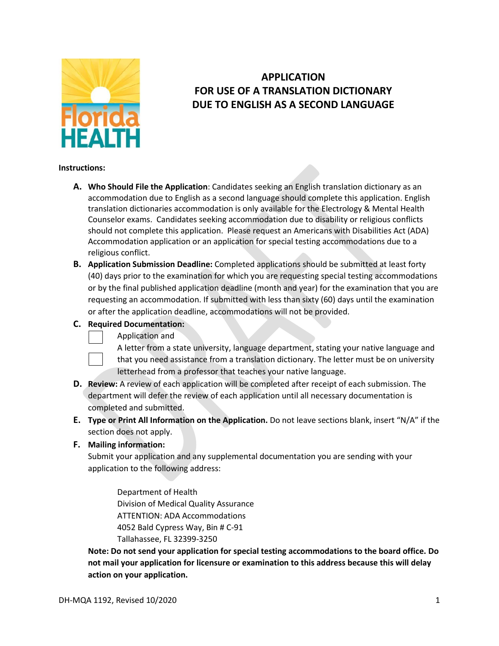

# **APPLICATION FOR USE OF A TRANSLATION DICTIONARY DUE TO ENGLISH AS A SECOND LANGUAGE**

### **Instructions:**

- **A. Who Should File the Application**: Candidates seeking an English translation dictionary as an accommodation due to English as a second language should complete this application. English translation dictionaries accommodation is only available for the Electrology & Mental Health Counselor exams. Candidates seeking accommodation due to disability or religious conflicts should not complete this application. Please request an Americans with Disabilities Act (ADA) Accommodation application or an application for special testing accommodations due to a religious conflict.
- **B. Application Submission Deadline:** Completed applications should be submitted at least forty (40) days prior to the examination for which you are requesting special testing accommodations or by the final published application deadline (month and year) for the examination that you are requesting an accommodation. If submitted with less than sixty (60) days until the examination or after the application deadline, accommodations will not be provided.

#### **C. Required Documentation:**

- Application and
	- A letter from a state university, language department, stating your native language and that you need assistance from a translation dictionary. The letter must be on university letterhead from a professor that teaches your native language.
- **D. Review:** A review of each application will be completed after receipt of each submission. The department will defer the review of each application until all necessary documentation is completed and submitted.
- **E. Type or Print All Information on the Application.** Do not leave sections blank, insert "N/A" if the section does not apply.

### **F. Mailing information:**

Submit your application and any supplemental documentation you are sending with your application to the following address:

Department of Health Division of Medical Quality Assurance ATTENTION: ADA Accommodations 4052 Bald Cypress Way, Bin # C-91 Tallahassee, FL 32399-3250

**Note: Do not send your application for special testing accommodations to the board office. Do not mail your application for licensure or examination to this address because this will delay action on your application.**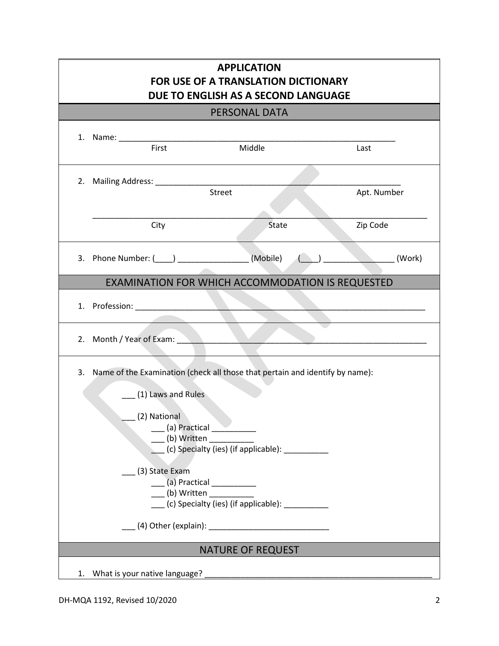| <b>APPLICATION</b><br><b>FOR USE OF A TRANSLATION DICTIONARY</b><br>DUE TO ENGLISH AS A SECOND LANGUAGE                                                                                                                                                                                                                                                   |                                                                                                               |                                                  |             |  |  |
|-----------------------------------------------------------------------------------------------------------------------------------------------------------------------------------------------------------------------------------------------------------------------------------------------------------------------------------------------------------|---------------------------------------------------------------------------------------------------------------|--------------------------------------------------|-------------|--|--|
| PERSONAL DATA                                                                                                                                                                                                                                                                                                                                             |                                                                                                               |                                                  |             |  |  |
|                                                                                                                                                                                                                                                                                                                                                           | 1. Name: Name: Name and Allen and Allen and Allen and Allen and Allen and Allen and Allen and Allen and Allen |                                                  |             |  |  |
|                                                                                                                                                                                                                                                                                                                                                           | First                                                                                                         | Middle                                           | Last        |  |  |
|                                                                                                                                                                                                                                                                                                                                                           |                                                                                                               | Street                                           | Apt. Number |  |  |
|                                                                                                                                                                                                                                                                                                                                                           | City                                                                                                          | State                                            | Zip Code    |  |  |
|                                                                                                                                                                                                                                                                                                                                                           | 3. Phone Number: ( ) (Mobile)                                                                                 |                                                  | (Work)      |  |  |
|                                                                                                                                                                                                                                                                                                                                                           |                                                                                                               | EXAMINATION FOR WHICH ACCOMMODATION IS REQUESTED |             |  |  |
|                                                                                                                                                                                                                                                                                                                                                           | 1. Profession: New York 1. Profession:                                                                        |                                                  |             |  |  |
| 2.                                                                                                                                                                                                                                                                                                                                                        | Month / Year of Exam:                                                                                         |                                                  |             |  |  |
| 3. Name of the Examination (check all those that pertain and identify by name):<br>(1) Laws and Rules<br>(2) National<br>$($ a) Practical $\_\_$<br>(b) Written<br>(c) Specialty (ies) (if applicable): __________<br>(3) State Exam<br>____ (a) Practical ___________<br>(b) Written<br>(c) Specialty (ies) (if applicable):<br><b>NATURE OF REQUEST</b> |                                                                                                               |                                                  |             |  |  |
|                                                                                                                                                                                                                                                                                                                                                           | What is your native language?<br>1.                                                                           |                                                  |             |  |  |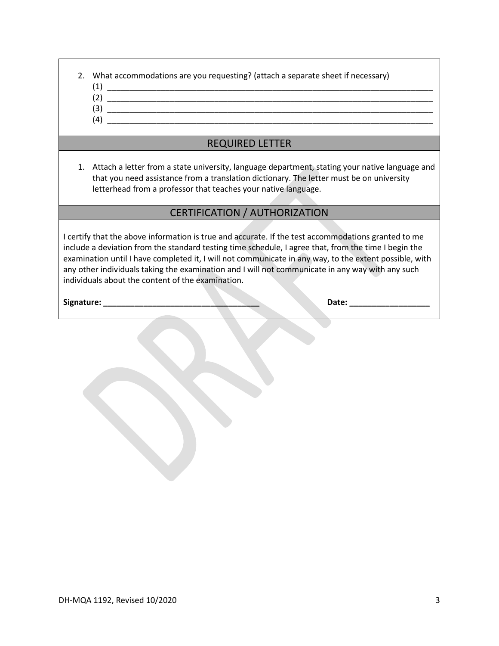| 2. What accommodations are you requesting? (attach a separate sheet if necessary) |
|-----------------------------------------------------------------------------------|
|                                                                                   |

- 
- (2) \_\_\_\_\_\_\_\_\_\_\_\_\_\_\_\_\_\_\_\_\_\_\_\_\_\_\_\_\_\_\_\_\_\_\_\_\_\_\_\_\_\_\_\_\_\_\_\_\_\_\_\_\_\_\_\_\_\_\_\_\_\_\_\_\_\_\_\_\_\_\_\_\_
- $(3)$  $(4)$
- 

## REQUIRED LETTER

1. Attach a letter from a state university, language department, stating your native language and that you need assistance from a translation dictionary. The letter must be on university letterhead from a professor that teaches your native language.

### CERTIFICATION / AUTHORIZATION

I certify that the above information is true and accurate. If the test accommodations granted to me include a deviation from the standard testing time schedule, I agree that, from the time I begin the examination until I have completed it, I will not communicate in any way, to the extent possible, with any other individuals taking the examination and I will not communicate in any way with any such individuals about the content of the examination.

**Signature: \_\_\_\_\_\_\_\_\_\_\_\_\_\_\_\_\_\_\_\_\_\_\_\_\_\_\_\_\_\_\_\_\_\_\_ Date: \_\_\_\_\_\_\_\_\_\_\_\_\_\_\_\_\_\_**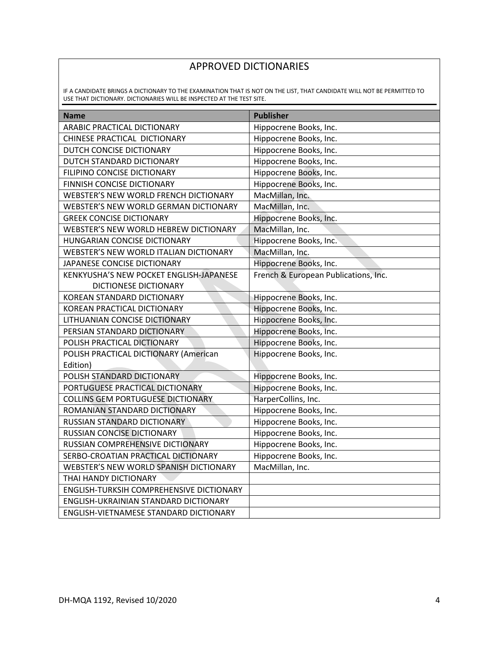# APPROVED DICTIONARIES

IF A CANDIDATE BRINGS A DICTIONARY TO THE EXAMINATION THAT IS NOT ON THE LIST, THAT CANDIDATE WILL NOT BE PERMITTED TO USE THAT DICTIONARY. DICTIONARIES WILL BE INSPECTED AT THE TEST SITE.

| <b>Name</b>                              | <b>Publisher</b>                     |
|------------------------------------------|--------------------------------------|
| ARABIC PRACTICAL DICTIONARY              | Hippocrene Books, Inc.               |
| CHINESE PRACTICAL DICTIONARY             | Hippocrene Books, Inc.               |
| DUTCH CONCISE DICTIONARY                 | Hippocrene Books, Inc.               |
| DUTCH STANDARD DICTIONARY                | Hippocrene Books, Inc.               |
| FILIPINO CONCISE DICTIONARY              | Hippocrene Books, Inc.               |
| FINNISH CONCISE DICTIONARY               | Hippocrene Books, Inc.               |
| WEBSTER'S NEW WORLD FRENCH DICTIONARY    | MacMillan, Inc.                      |
| WEBSTER'S NEW WORLD GERMAN DICTIONARY    | MacMillan, Inc.                      |
| <b>GREEK CONCISE DICTIONARY</b>          | Hippocrene Books, Inc.               |
| WEBSTER'S NEW WORLD HEBREW DICTIONARY    | MacMillan, Inc.                      |
| HUNGARIAN CONCISE DICTIONARY             | Hippocrene Books, Inc.               |
| WEBSTER'S NEW WORLD ITALIAN DICTIONARY   | MacMillan, Inc.                      |
| JAPANESE CONCISE DICTIONARY              | Hippocrene Books, Inc.               |
| KENKYUSHA'S NEW POCKET ENGLISH-JAPANESE  | French & European Publications, Inc. |
| DICTIONESE DICTIONARY                    |                                      |
| KOREAN STANDARD DICTIONARY               | Hippocrene Books, Inc.               |
| KOREAN PRACTICAL DICTIONARY              | Hippocrene Books, Inc.               |
| LITHUANIAN CONCISE DICTIONARY            | Hippocrene Books, Inc.               |
| PERSIAN STANDARD DICTIONARY              | Hippocrene Books, Inc.               |
| POLISH PRACTICAL DICTIONARY              | Hippocrene Books, Inc.               |
| POLISH PRACTICAL DICTIONARY (American    | Hippocrene Books, Inc.               |
| Edition)                                 |                                      |
| POLISH STANDARD DICTIONARY               | Hippocrene Books, Inc.               |
| PORTUGUESE PRACTICAL DICTIONARY          | Hippocrene Books, Inc.               |
| COLLINS GEM PORTUGUESE DICTIONARY        | HarperCollins, Inc.                  |
| ROMANIAN STANDARD DICTIONARY             | Hippocrene Books, Inc.               |
| RUSSIAN STANDARD DICTIONARY              | Hippocrene Books, Inc.               |
| RUSSIAN CONCISE DICTIONARY               | Hippocrene Books, Inc.               |
| RUSSIAN COMPREHENSIVE DICTIONARY         | Hippocrene Books, Inc.               |
| SERBO-CROATIAN PRACTICAL DICTIONARY      | Hippocrene Books, Inc.               |
| WEBSTER'S NEW WORLD SPANISH DICTIONARY   | MacMillan, Inc.                      |
| THAI HANDY DICTIONARY                    |                                      |
| ENGLISH-TURKSIH COMPREHENSIVE DICTIONARY |                                      |
| ENGLISH-UKRAINIAN STANDARD DICTIONARY    |                                      |
| ENGLISH-VIETNAMESE STANDARD DICTIONARY   |                                      |